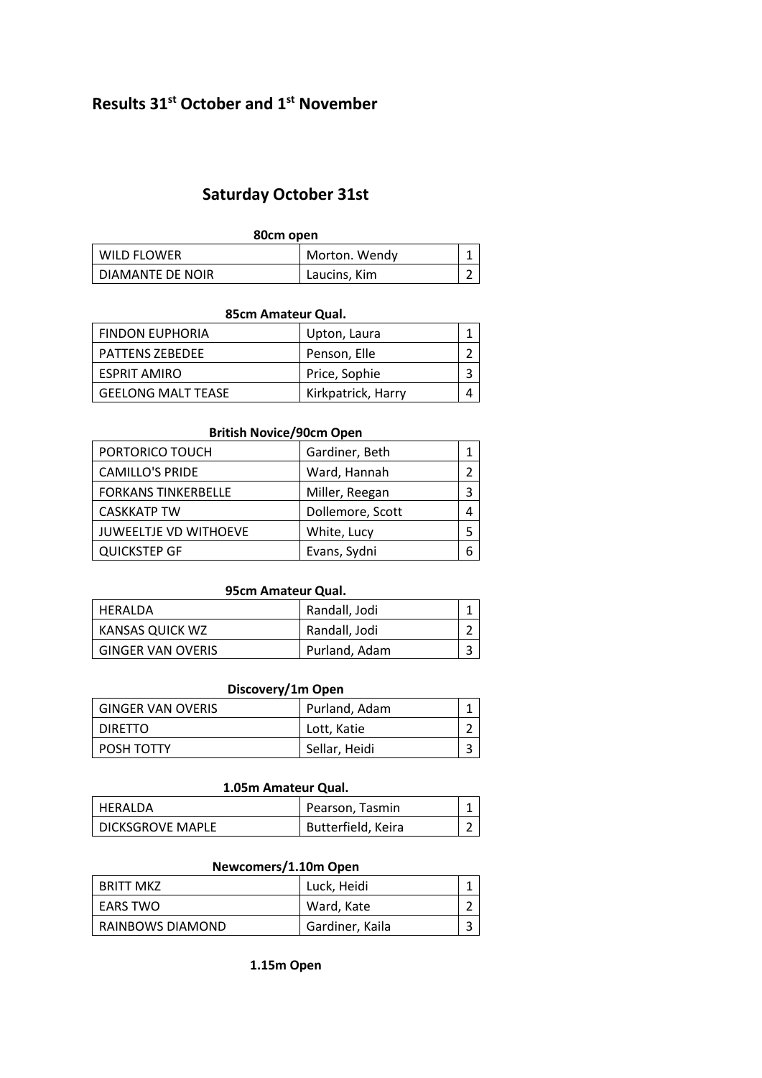# **Results 31st October and 1st November**

## **Saturday October 31st**

| 80cm open        |               |   |
|------------------|---------------|---|
| WILD FLOWER      | Morton. Wendy |   |
| DIAMANTE DE NOIR | Laucins, Kim  | ∽ |

#### **85cm Amateur Qual.**

| <b>FINDON EUPHORIA</b>    | Upton, Laura       |  |
|---------------------------|--------------------|--|
| <b>PATTENS ZEBEDEE</b>    | Penson, Elle       |  |
| ESPRIT AMIRO              | Price, Sophie      |  |
| <b>GEELONG MALT TEASE</b> | Kirkpatrick, Harry |  |

#### **British Novice/90cm Open**

| PORTORICO TOUCH              | Gardiner, Beth   |  |
|------------------------------|------------------|--|
| <b>CAMILLO'S PRIDE</b>       | Ward, Hannah     |  |
| <b>FORKANS TINKERBELLE</b>   | Miller, Reegan   |  |
| <b>CASKKATP TW</b>           | Dollemore, Scott |  |
| <b>JUWEELTJE VD WITHOEVE</b> | White, Lucy      |  |
| <b>QUICKSTEP GF</b>          | Evans, Sydni     |  |

#### **95cm Amateur Qual.**

| HERALDA                  | Randall, Jodi |   |
|--------------------------|---------------|---|
| KANSAS QUICK WZ          | Randall, Jodi | ∽ |
| <b>GINGER VAN OVERIS</b> | Purland, Adam | ∍ |

### **Discovery/1m Open**

| <b>GINGER VAN OVERIS</b> | Purland, Adam |   |
|--------------------------|---------------|---|
| DIRETTO                  | Lott, Katie   | ∽ |
| POSH TOTTY               | Sellar, Heidi | ∽ |

#### **1.05m Amateur Qual.**

| HERALDA            | Pearson, Tasmin    |  |
|--------------------|--------------------|--|
| l DICKSGROVE MAPLE | Butterfield, Keira |  |

#### **Newcomers/1.10m Open**

| BRITT MKZ        | Luck, Heidi     |   |
|------------------|-----------------|---|
| EARS TWO         | Ward, Kate      | ∽ |
| RAINBOWS DIAMOND | Gardiner, Kaila | ∽ |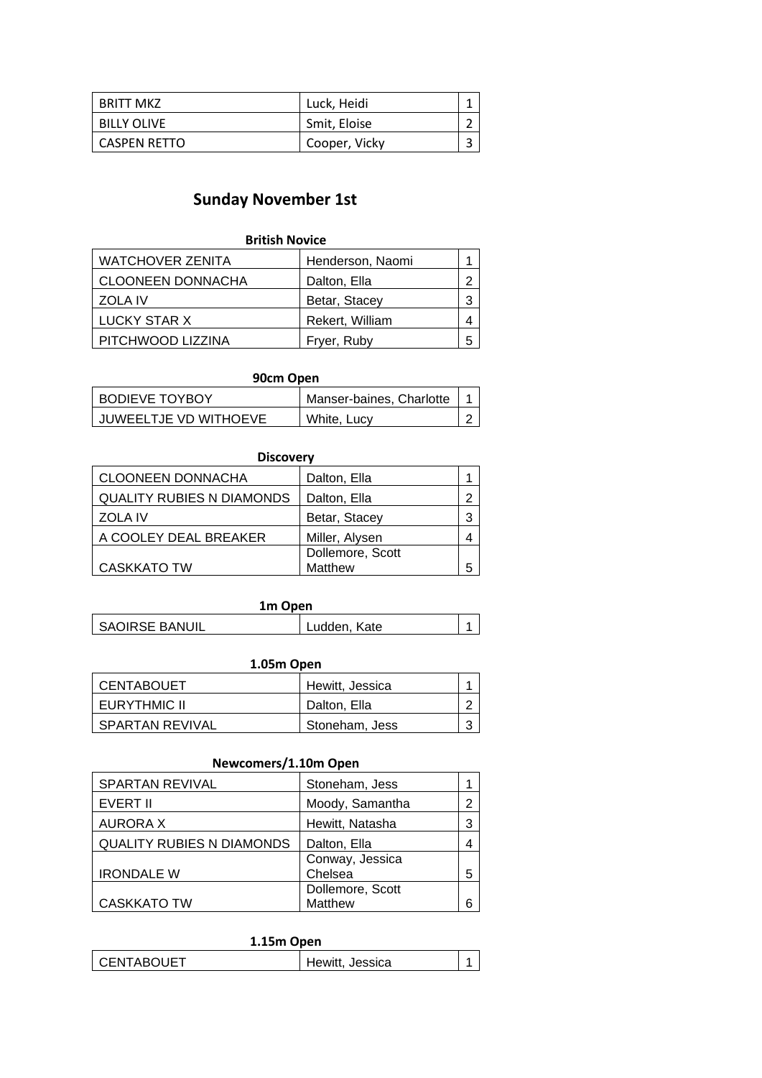| BRITT MKZ           | Luck, Heidi   |   |
|---------------------|---------------|---|
| <b>BILLY OLIVE</b>  | Smit, Eloise  | ∽ |
| <b>CASPEN RETTO</b> | Cooper, Vicky | ∽ |

# **Sunday November 1st**

| <b>British Novice</b>    |                  |   |
|--------------------------|------------------|---|
| <b>WATCHOVER ZENITA</b>  | Henderson, Naomi |   |
| <b>CLOONEEN DONNACHA</b> | Dalton, Ella     | っ |
| <b>ZOLA IV</b>           | Betar, Stacey    | 3 |
| LUCKY STAR X             | Rekert, William  | 4 |
| PITCHWOOD LIZZINA        | Fryer, Ruby      | 5 |

| 90cm Open             |                          |  |
|-----------------------|--------------------------|--|
| <b>BODIEVE TOYBOY</b> | Manser-baines, Charlotte |  |
| JUWEELTJE VD WITHOEVE | White, Lucy              |  |

| <b>Discovery</b>                 |                  |   |
|----------------------------------|------------------|---|
| <b>CLOONEEN DONNACHA</b>         | Dalton, Ella     |   |
| <b>QUALITY RUBIES N DIAMONDS</b> | Dalton, Ella     | ≏ |
| <b>ZOLA IV</b>                   | Betar, Stacey    | 3 |
| A COOLEY DEAL BREAKER            | Miller, Alysen   |   |
|                                  | Dollemore, Scott |   |
| <b>CASKKATO TW</b>               | Matthew          | 5 |

| 1m Open        |              |  |
|----------------|--------------|--|
| SAOIRSE BANUIL | Ludden, Kate |  |

| 1.05m Open        |                 |   |
|-------------------|-----------------|---|
| <b>CENTABOUET</b> | Hewitt, Jessica |   |
| EURYTHMIC II      | Dalton, Ella    |   |
| SPARTAN REVIVAL   | Stoneham, Jess  | ົ |

### **Newcomers/1.10m Open**

| SPARTAN REVIVAL                  | Stoneham, Jess   |   |
|----------------------------------|------------------|---|
| EVERT II                         | Moody, Samantha  | 2 |
| <b>AURORA X</b>                  | Hewitt, Natasha  |   |
| <b>QUALITY RUBIES N DIAMONDS</b> | Dalton, Ella     |   |
|                                  | Conway, Jessica  |   |
| <b>IRONDALE W</b>                | Chelsea          | 5 |
|                                  | Dollemore, Scott |   |
| <b>CASKKATO TW</b>               | Matthew          |   |

| 1.15m Open   |                 |  |
|--------------|-----------------|--|
| I CENTABOUET | Hewitt, Jessica |  |